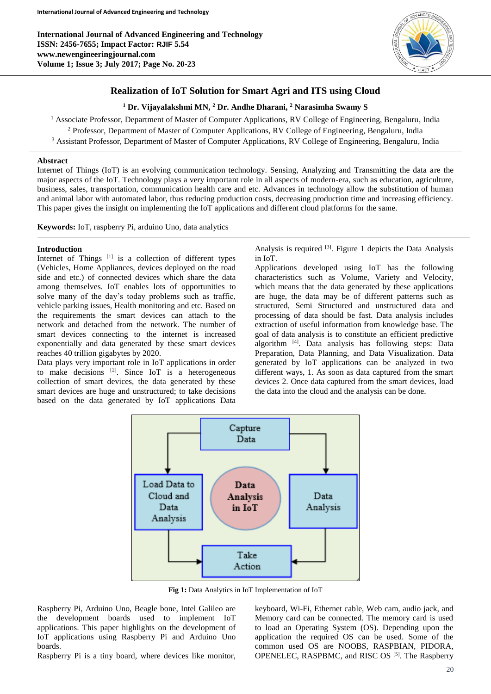

# **Realization of IoT Solution for Smart Agri and ITS using Cloud**

# **<sup>1</sup> Dr. Vijayalakshmi MN, <sup>2</sup> Dr. Andhe Dharani, <sup>2</sup> Narasimha Swamy S**

<sup>1</sup> Associate Professor, Department of Master of Computer Applications, RV College of Engineering, Bengaluru, India <sup>2</sup> Professor, Department of Master of Computer Applications, RV College of Engineering, Bengaluru, India

<sup>3</sup> Assistant Professor, Department of Master of Computer Applications, RV College of Engineering, Bengaluru, India

# **Abstract**

Internet of Things (IoT) is an evolving communication technology. Sensing, Analyzing and Transmitting the data are the major aspects of the IoT. Technology plays a very important role in all aspects of modern-era, such as education, agriculture, business, sales, transportation, communication health care and etc. Advances in technology allow the substitution of human and animal labor with automated labor, thus reducing production costs, decreasing production time and increasing efficiency. This paper gives the insight on implementing the IoT applications and different cloud platforms for the same.

**Keywords:** IoT, raspberry Pi, arduino Uno, data analytics

# **Introduction**

Internet of Things  $[1]$  is a collection of different types (Vehicles, Home Appliances, devices deployed on the road side and etc.) of connected devices which share the data among themselves. IoT enables lots of opportunities to solve many of the day's today problems such as traffic, vehicle parking issues, Health monitoring and etc. Based on the requirements the smart devices can attach to the network and detached from the network. The number of smart devices connecting to the internet is increased exponentially and data generated by these smart devices reaches 40 trillion gigabytes by 2020.

Data plays very important role in IoT applications in order to make decisions [2]. Since IoT is a heterogeneous collection of smart devices, the data generated by these smart devices are huge and unstructured; to take decisions based on the data generated by IoT applications Data

Analysis is required <sup>[3]</sup>. Figure 1 depicts the Data Analysis in IoT.

Applications developed using IoT has the following characteristics such as Volume, Variety and Velocity, which means that the data generated by these applications are huge, the data may be of different patterns such as structured, Semi Structured and unstructured data and processing of data should be fast. Data analysis includes extraction of useful information from knowledge base. The goal of data analysis is to constitute an efficient predictive algorithm [4]. Data analysis has following steps: Data Preparation, Data Planning, and Data Visualization. Data generated by IoT applications can be analyzed in two different ways, 1. As soon as data captured from the smart devices 2. Once data captured from the smart devices, load the data into the cloud and the analysis can be done.



**Fig 1:** Data Analytics in IoT Implementation of IoT

Raspberry Pi, Arduino Uno, Beagle bone, Intel Galileo are the development boards used to implement IoT applications. This paper highlights on the development of IoT applications using Raspberry Pi and Arduino Uno boards.

Raspberry Pi is a tiny board, where devices like monitor,

keyboard, Wi-Fi, Ethernet cable, Web cam, audio jack, and Memory card can be connected. The memory card is used to load an Operating System (OS). Depending upon the application the required OS can be used. Some of the common used OS are NOOBS, RASPBIAN, PIDORA, OPENELEC, RASPBMC, and RISC OS<sup>[5]</sup>. The Raspberry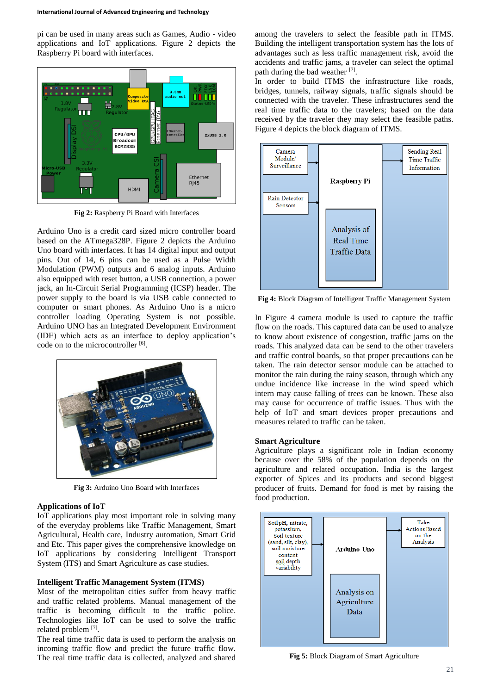pi can be used in many areas such as Games, Audio - video applications and IoT applications. Figure 2 depicts the Raspberry Pi board with interfaces.



**Fig 2:** Raspberry Pi Board with Interfaces

Arduino Uno is a credit card sized micro controller board based on the ATmega328P. Figure 2 depicts the Arduino Uno board with interfaces. It has 14 digital input and output pins. Out of 14, 6 pins can be used as a Pulse Width Modulation (PWM) outputs and 6 analog inputs. Arduino also equipped with reset button, a USB connection, a power jack, an In-Circuit Serial Programming (ICSP) header. The power supply to the board is via USB cable connected to computer or smart phones. As Arduino Uno is a micro controller loading Operating System is not possible. Arduino UNO has an Integrated Development Environment (IDE) which acts as an interface to deploy application's code on to the microcontroller [6].



**Fig 3:** Arduino Uno Board with Interfaces

#### **Applications of IoT**

IoT applications play most important role in solving many of the everyday problems like Traffic Management, Smart Agricultural, Health care, Industry automation, Smart Grid and Etc. This paper gives the comprehensive knowledge on IoT applications by considering Intelligent Transport System (ITS) and Smart Agriculture as case studies.

#### **Intelligent Traffic Management System (ITMS)**

Most of the metropolitan cities suffer from heavy traffic and traffic related problems. Manual management of the traffic is becoming difficult to the traffic police. Technologies like IoT can be used to solve the traffic related problem [7].

The real time traffic data is used to perform the analysis on incoming traffic flow and predict the future traffic flow. The real time traffic data is collected, analyzed and shared among the travelers to select the feasible path in ITMS. Building the intelligent transportation system has the lots of advantages such as less traffic management risk, avoid the accidents and traffic jams, a traveler can select the optimal path during the bad weather [7].

In order to build ITMS the infrastructure like roads, bridges, tunnels, railway signals, traffic signals should be connected with the traveler. These infrastructures send the real time traffic data to the travelers; based on the data received by the traveler they may select the feasible paths. Figure 4 depicts the block diagram of ITMS.



**Fig 4:** Block Diagram of Intelligent Traffic Management System

In Figure 4 camera module is used to capture the traffic flow on the roads. This captured data can be used to analyze to know about existence of congestion, traffic jams on the roads. This analyzed data can be send to the other travelers and traffic control boards, so that proper precautions can be taken. The rain detector sensor module can be attached to monitor the rain during the rainy season, through which any undue incidence like increase in the wind speed which intern may cause falling of trees can be known. These also may cause for occurrence of traffic issues. Thus with the help of IoT and smart devices proper precautions and measures related to traffic can be taken.

#### **Smart Agriculture**

Agriculture plays a significant role in Indian economy because over the 58% of the population depends on the agriculture and related occupation. India is the largest exporter of Spices and its products and second biggest producer of fruits. Demand for food is met by raising the food production.



**Fig 5:** Block Diagram of Smart Agriculture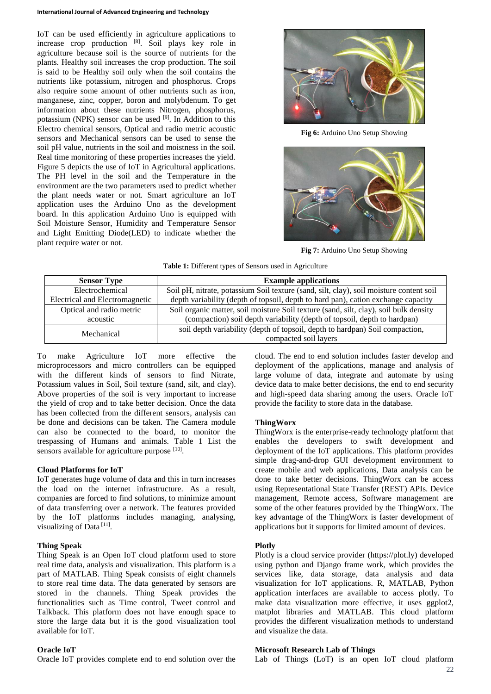#### **International Journal of Advanced Engineering and Technology**

IoT can be used efficiently in agriculture applications to increase crop production [8]. Soil plays key role in agriculture because soil is the source of nutrients for the plants. Healthy soil increases the crop production. The soil is said to be Healthy soil only when the soil contains the nutrients like potassium, nitrogen and phosphorus. Crops also require some amount of other nutrients such as iron, manganese, zinc, copper, boron and molybdenum. To get information about these nutrients Nitrogen, phosphorus, potassium (NPK) sensor can be used  $[9]$ . In Addition to this Electro chemical sensors, Optical and radio metric acoustic sensors and Mechanical sensors can be used to sense the soil pH value, nutrients in the soil and moistness in the soil. Real time monitoring of these properties increases the yield. Figure 5 depicts the use of IoT in Agricultural applications. The PH level in the soil and the Temperature in the environment are the two parameters used to predict whether the plant needs water or not. Smart agriculture an IoT application uses the Arduino Uno as the development board. In this application Arduino Uno is equipped with Soil Moisture Sensor, Humidity and Temperature Sensor and Light Emitting Diode(LED) to indicate whether the plant require water or not.



**Fig 6:** Arduino Uno Setup Showing



**Fig 7:** Arduino Uno Setup Showing

| <b>Sensor Type</b>             | <b>Example applications</b>                                                             |
|--------------------------------|-----------------------------------------------------------------------------------------|
| Electrochemical                | Soil pH, nitrate, potassium Soil texture (sand, silt, clay), soil moisture content soil |
| Electrical and Electromagnetic | depth variability (depth of topsoil, depth to hard pan), cation exchange capacity       |
| Optical and radio metric       | Soil organic matter, soil moisture Soil texture (sand, silt, clay), soil bulk density   |
| acoustic                       | (compaction) soil depth variability (depth of topsoil, depth to hardpan)                |
| Mechanical                     | soil depth variability (depth of topsoil, depth to hardpan) Soil compaction,            |
|                                | compacted soil layers                                                                   |

To make Agriculture IoT more effective the microprocessors and micro controllers can be equipped with the different kinds of sensors to find Nitrate, Potassium values in Soil, Soil texture (sand, silt, and clay). Above properties of the soil is very important to increase the yield of crop and to take better decision. Once the data has been collected from the different sensors, analysis can be done and decisions can be taken. The Camera module can also be connected to the board, to monitor the trespassing of Humans and animals. Table 1 List the sensors available for agriculture purpose [10].

#### **Cloud Platforms for IoT**

IoT generates huge volume of data and this in turn increases the load on the internet infrastructure. As a result, companies are forced to find solutions, to minimize amount of data transferring over a network. The features provided by the IoT platforms includes managing, analysing, visualizing of Data<sup>[11]</sup>.

### **Thing Speak**

Thing Speak is an Open IoT cloud platform used to store real time data, analysis and visualization. This platform is a part of MATLAB. Thing Speak consists of eight channels to store real time data. The data generated by sensors are stored in the channels. Thing Speak provides the functionalities such as Time control, Tweet control and Talkback. This platform does not have enough space to store the large data but it is the good visualization tool available for IoT.

#### **Oracle IoT**

Oracle IoT provides complete end to end solution over the

cloud. The end to end solution includes faster develop and deployment of the applications, manage and analysis of large volume of data, integrate and automate by using device data to make better decisions, the end to end security and high-speed data sharing among the users. Oracle IoT provide the facility to store data in the database.

#### **ThingWorx**

ThingWorx is the enterprise-ready technology platform that enables the developers to swift development and deployment of the IoT applications. This platform provides simple drag-and-drop GUI development environment to create mobile and web applications, Data analysis can be done to take better decisions. ThingWorx can be access using Representational State Transfer (REST) APIs. Device management, Remote access, Software management are some of the other features provided by the ThingWorx. The key advantage of the ThingWorx is faster development of applications but it supports for limited amount of devices.

#### **Plotly**

Plotly is a cloud service provider (https://plot.ly) developed using python and Django frame work, which provides the services like, data storage, data analysis and data visualization for IoT applications. R, MATLAB, Python application interfaces are available to access plotly. To make data visualization more effective, it uses ggplot2, matplot libraries and MATLAB. This cloud platform provides the different visualization methods to understand and visualize the data.

#### **Microsoft Research Lab of Things**

Lab of Things (LoT) is an open IoT cloud platform